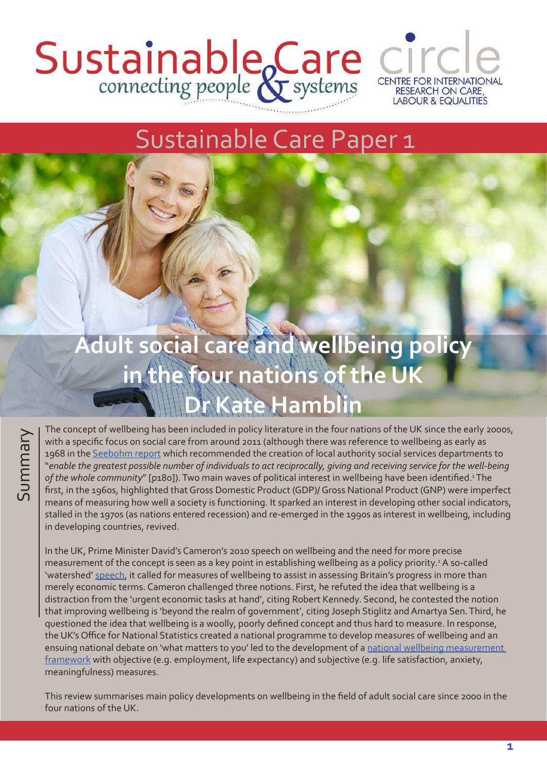### Sustainable Care CI **CENTRE FOR INTERNATIONAL RESEARCH ON CARE, LABOUR & EQUALITIES**



# **Adult social care and wellbeing policy in the four nations of the UK Dr Kate Hamblin**

Sustainable Care Paper 1

The concept of wellbeing has been included in policy literature in the four nations of the UK since the early 2000s,<br>with a specific focus on social care from around 2011 (although there was reference to wellbeing as early with a specific focus on social care from around 2011 (although there was reference to wellbeing as early as 1968 in the [Seebohm report](http://filestore.nationalarchives.gov.uk/pdfs/small/cab-129-138-c-88.pdf) which recommended the creation of local authority social services departments to "*enable the greatest possible number of individuals to act reciprocally, giving and receiving service for the well-being*  of the whole community" [p180]). Two main waves of political interest in wellbeing have been identified.<sup>1</sup>The first, in the 1960s, highlighted that Gross Domestic Product (GDP)/ Gross National Product (GNP) were imperfect means of measuring how well a society is functioning. It sparked an interest in developing other social indicators, stalled in the 1970s (as nations entered recession) and re-emerged in the 1990s as interest in wellbeing, including in developing countries, revived.

In the UK, Prime Minister David's Cameron's 2010 speech on wellbeing and the need for more precise measurement of the concept is seen as a key point in establishing wellbeing as a policy priority.<sup>2</sup> A so-called 'watershed' [speech](https://www.gov.uk/government/speeches/pm-speech-on-wellbeing), it called for measures of wellbeing to assist in assessing Britain's progress in more than merely economic terms. Cameron challenged three notions. First, he refuted the idea that wellbeing is a distraction from the 'urgent economic tasks at hand', citing Robert Kennedy. Second, he contested the notion that improving wellbeing is 'beyond the realm of government', citing Joseph Stiglitz and Amartya Sen. Third, he questioned the idea that wellbeing is a woolly, poorly defined concept and thus hard to measure. In response, the UK's Office for National Statistics created a national programme to develop measures of wellbeing and an ensuing national debate on 'what matters to you' led to the development of a [national wellbeing measurement](https://www.ons.gov.uk/ons/guide-method/user-guidance/well-being/wellbeing-knowledge-bank/understanding-wellbeing/measuring-what-matters--national-statistician-s-reflections-on-the-national-debate-on-measuring-national-well-being.pdf)  [framework](https://www.ons.gov.uk/ons/guide-method/user-guidance/well-being/wellbeing-knowledge-bank/understanding-wellbeing/measuring-what-matters--national-statistician-s-reflections-on-the-national-debate-on-measuring-national-well-being.pdf) with objective (e.g. employment, life expectancy) and subjective (e.g. life satisfaction, anxiety, meaningfulness) measures.

This review summarises main policy developments on wellbeing in the field of adult social care since 2000 in the four nations of the UK.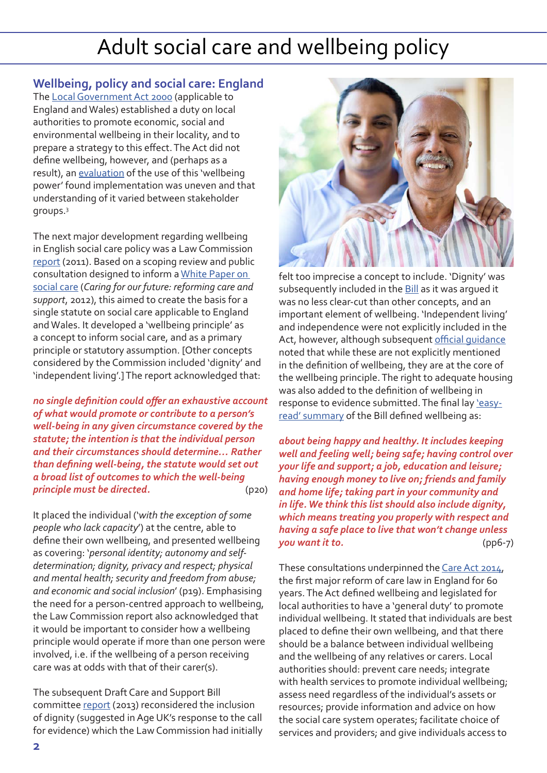**Wellbeing, policy and social care: England**

The [Local Government Act 2000](https://www.legislation.gov.uk/ukpga/2000/22/pdfs/ukpga_20000022_en.pdf) (applicable to England and Wales) established a duty on local authorities to promote economic, social and environmental wellbeing in their locality, and to prepare a strategy to this effect. The Act did not define wellbeing, however, and (perhaps as a result), an [evaluation](http://webarchive.nationalarchives.gov.uk/20120920032603/http:/www.communities.gov.uk/documents/localgovernment/pdf/10614461.pdf) of the use of this 'wellbeing power' found implementation was uneven and that understanding of it varied between stakeholder groups.<sup>3</sup>

The next major development regarding wellbeing in English social care policy was a Law Commission [report](http://www.lawcom.gov.uk/app/uploads/2015/03/lc326_adult_social_care.pdf) (2011). Based on a scoping review and public consultation designed to inform a [White Paper on](https://assets.publishing.service.gov.uk/government/uploads/system/uploads/attachment_data/file/136422/White-Paper-Caring-for-our-future-reforming-care-and-support-PDF-1580K.pdf)  [social care](https://assets.publishing.service.gov.uk/government/uploads/system/uploads/attachment_data/file/136422/White-Paper-Caring-for-our-future-reforming-care-and-support-PDF-1580K.pdf) (*Caring for our future: reforming care and support*, 2012), this aimed to create the basis for a single statute on social care applicable to England and Wales. It developed a 'wellbeing principle' as a concept to inform social care, and as a primary principle or statutory assumption. [Other concepts considered by the Commission included 'dignity' and 'independent living'.] The report acknowledged that:

*no single definition could offer an exhaustive account of what would promote or contribute to a person's well-being in any given circumstance covered by the statute; the intention is that the individual person and their circumstances should determine… Rather than defining well-being, the statute would set out a broad list of outcomes to which the well-being principle must be directed.* (p20)

It placed the individual ('*with the exception of some people who lack capacity*') at the centre, able to define their own wellbeing, and presented wellbeing as covering: '*personal identity; autonomy and selfdetermination; dignity, privacy and respect; physical and mental health; security and freedom from abuse; and economic and social inclusion*' (p19). Emphasising the need for a person-centred approach to wellbeing, the Law Commission report also acknowledged that it would be important to consider how a wellbeing principle would operate if more than one person were involved, i.e. if the wellbeing of a person receiving care was at odds with that of their carer(s).

The subsequent Draft Care and Support Bill committee [report](https://publications.parliament.uk/pa/jt201213/jtselect/jtcare/143/143.pdf) (2013) reconsidered the inclusion of dignity (suggested in Age UK's response to the call for evidence) which the Law Commission had initially



felt too imprecise a concept to include. 'Dignity' was subsequently included in the **Bill** as it was arqued it was no less clear-cut than other concepts, and an important element of wellbeing. 'Independent living' and independence were not explicitly included in the Act, however, although subsequent [official guidance](https://www.gov.uk/government/publications/care-act-statutory-guidance/care-and-support-statutory-guidance) noted that while these are not explicitly mentioned in the definition of wellbeing, they are at the core of the wellbeing principle. The right to adequate housing was also added to the definition of wellbeing in response to evidence submitted. The final lay leasy[read' summary](https://publications.parliament.uk/pa/jt201213/jtselect/jtcare/143/143short.pdf) of the Bill defined wellbeing as:

*about being happy and healthy. It includes keeping well and feeling well; being safe; having control over your life and support; a job, education and leisure; having enough money to live on; friends and family and home life; taking part in your community and in life. We think this list should also include dignity, which means treating you properly with respect and having a safe place to live that won't change unless you want it to.* (pp6-7)

These consultations underpinned the [Care Act 2014](http://www.legislation.gov.uk/ukpga/2014/23/contents/enacted), the first major reform of care law in England for 60 years. The Act defined wellbeing and legislated for local authorities to have a 'general duty' to promote individual wellbeing. It stated that individuals are best placed to define their own wellbeing, and that there should be a balance between individual wellbeing and the wellbeing of any relatives or carers. Local authorities should: prevent care needs; integrate with health services to promote individual wellbeing; assess need regardless of the individual's assets or resources; provide information and advice on how the social care system operates; facilitate choice of services and providers; and give individuals access to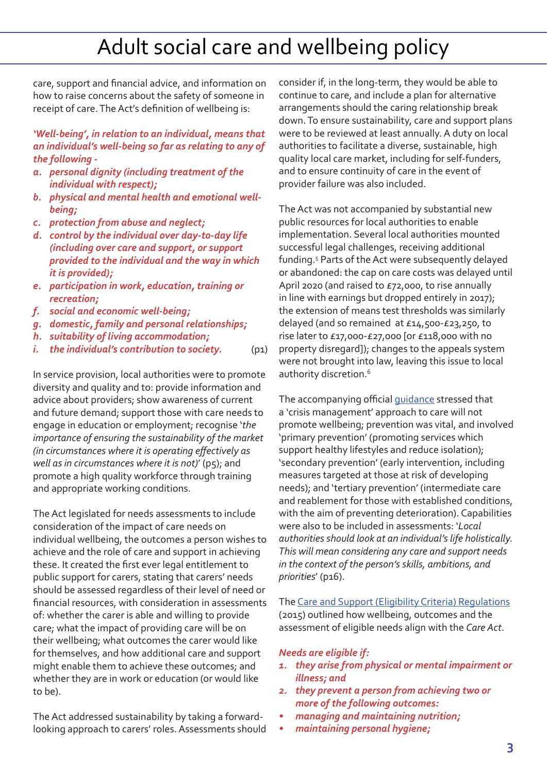care, support and financial advice, and information on how to raise concerns about the safety of someone in receipt of care. The Act's definition of wellbeing is:

*'Well-being', in relation to an individual, means that an individual's well-being so far as relating to any of the following -* 

- *a. personal dignity (including treatment of the individual with respect);*
- *b. physical and mental health and emotional wellbeing;*
- *c. protection from abuse and neglect;*
- *d. control by the individual over day-to-day life (including over care and support, or support provided to the individual and the way in which it is provided);*
- *e. participation in work, education, training or recreation;*
- *f. social and economic well-being;*
- *g. domestic, family and personal relationships;*
- *h. suitability of living accommodation;*
- *i. the individual's contribution to society.* (p1)

In service provision, local authorities were to promote diversity and quality and to: provide information and advice about providers; show awareness of current and future demand; support those with care needs to engage in education or employment; recognise '*the importance of ensuring the sustainability of the market (in circumstances where it is operating effectively as well as in circumstances where it is not)*' (p5); and promote a high quality workforce through training and appropriate working conditions.

The Act legislated for needs assessments to include consideration of the impact of care needs on individual wellbeing, the outcomes a person wishes to achieve and the role of care and support in achieving these. It created the first ever legal entitlement to public support for carers, stating that carers' needs should be assessed regardless of their level of need or financial resources, with consideration in assessments of: whether the carer is able and willing to provide care; what the impact of providing care will be on their wellbeing; what outcomes the carer would like for themselves, and how additional care and support might enable them to achieve these outcomes; and whether they are in work or education (or would like to be).

The Act addressed sustainability by taking a forwardlooking approach to carers' roles. Assessments should consider if, in the long-term, they would be able to continue to care, and include a plan for alternative arrangements should the caring relationship break down. To ensure sustainability, care and support plans were to be reviewed at least annually. A duty on local authorities to facilitate a diverse, sustainable, high quality local care market, including for self-funders, and to ensure continuity of care in the event of provider failure was also included.

The Act was not accompanied by substantial new public resources for local authorities to enable implementation. Several local authorities mounted successful legal challenges, receiving additional funding.5 Parts of the Act were subsequently delayed or abandoned: the cap on care costs was delayed until April 2020 (and raised to £72,000, to rise annually in line with earnings but dropped entirely in 2017); the extension of means test thresholds was similarly delayed (and so remained at £14,500-£23,250, to rise later to £17,000-£27,000 [or £118,000 with no property disregard]); changes to the appeals system were not brought into law, leaving this issue to local authority discretion.<sup>6</sup>

The accompanying official [guidance](https://www.gov.uk/government/publications/care-act-statutory-guidance/care-and-support-statutory-guidance) stressed that a 'crisis management' approach to care will not promote wellbeing; prevention was vital, and involved 'primary prevention' (promoting services which support healthy lifestyles and reduce isolation); 'secondary prevention' (early intervention, including measures targeted at those at risk of developing needs); and 'tertiary prevention' (intermediate care and reablement for those with established conditions, with the aim of preventing deterioration). Capabilities were also to be included in assessments: '*Local authorities should look at an individual's life holistically. This will mean considering any care and support needs in the context of the person's skills, ambitions, and priorities*' (p16).

The [Care and Support \(Eligibility Criteria\) Regulations](http://www.legislation.gov.uk/uksi/2015/313/pdfs/uksi_20150313_en.pdf) (2015) outlined how wellbeing, outcomes and the assessment of eligible needs align with the *Care Act*.

#### *Needs are eligible if:*

- *1. they arise from physical or mental impairment or illness; and*
- *2. they prevent a person from achieving two or more of the following outcomes:*
- *• managing and maintaining nutrition;*
- *• maintaining personal hygiene;*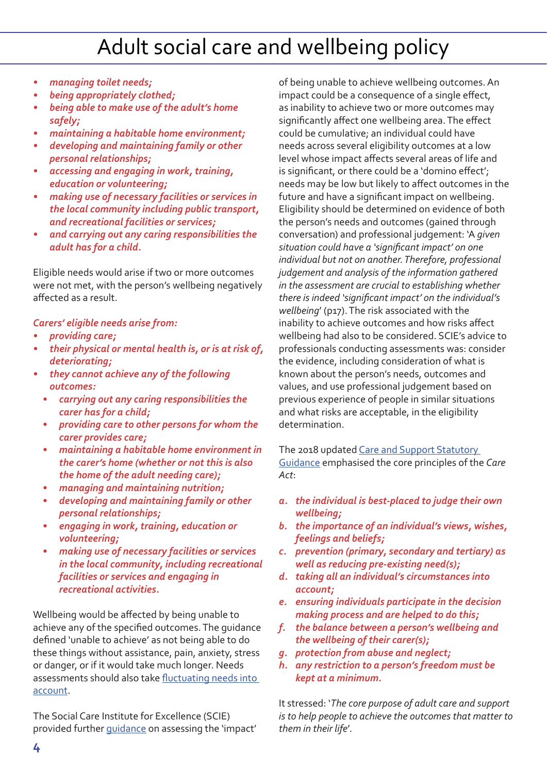- *• managing toilet needs;*
- *• being appropriately clothed;*
- *• being able to make use of the adult's home safely;*
- *• maintaining a habitable home environment;*
- *• developing and maintaining family or other personal relationships;*
- *• accessing and engaging in work, training, education or volunteering;*
- *• making use of necessary facilities or services in the local community including public transport, and recreational facilities or services;*
- *• and carrying out any caring responsibilities the adult has for a child.*

Eligible needs would arise if two or more outcomes were not met, with the person's wellbeing negatively affected as a result.

#### *Carers' eligible needs arise from:*

- *• providing care;*
- *• their physical or mental health is, or is at risk of, deteriorating;*
- *• they cannot achieve any of the following outcomes:* 
	- *• carrying out any caring responsibilities the carer has for a child;*
	- *• providing care to other persons for whom the carer provides care;*
	- *• maintaining a habitable home environment in the carer's home (whether or not this is also the home of the adult needing care);*
	- *• managing and maintaining nutrition;*
	- *• developing and maintaining family or other personal relationships;*
	- *• engaging in work, training, education or volunteering;*
	- *• making use of necessary facilities or services in the local community, including recreational facilities or services and engaging in recreational activities.*

Wellbeing would be affected by being unable to achieve any of the specified outcomes. The guidance defined 'unable to achieve' as not being able to do these things without assistance, pain, anxiety, stress or danger, or if it would take much longer. Needs assessments should also take [fluctuating needs into](https://www.scie.org.uk/care-act-2014/assessment-and-eligibility/fluctuating-needs/files/fluctuating-needs.pdf)  [account](https://www.scie.org.uk/care-act-2014/assessment-and-eligibility/fluctuating-needs/files/fluctuating-needs.pdf).

The Social Care Institute for Excellence (SCIE) provided further [guidance](https://www.scie.org.uk/care-act-2014/assessment-and-eligibility/eligibility/files/eligibility.pdf) on assessing the 'impact'

of being unable to achieve wellbeing outcomes. An impact could be a consequence of a single effect, as inability to achieve two or more outcomes may significantly affect one wellbeing area. The effect could be cumulative; an individual could have needs across several eligibility outcomes at a low level whose impact affects several areas of life and is significant, or there could be a 'domino effect'; needs may be low but likely to affect outcomes in the future and have a significant impact on wellbeing. Eligibility should be determined on evidence of both the person's needs and outcomes (gained through conversation) and professional judgement: 'A *given situation could have a 'significant impact' on one individual but not on another. Therefore, professional judgement and analysis of the information gathered in the assessment are crucial to establishing whether there is indeed 'significant impact' on the individual's wellbeing*' (p17). The risk associated with the inability to achieve outcomes and how risks affect wellbeing had also to be considered. SCIE's advice to professionals conducting assessments was: consider the evidence, including consideration of what is known about the person's needs, outcomes and values, and use professional judgement based on previous experience of people in similar situations and what risks are acceptable, in the eligibility determination.

The 2018 updated Care and Support Statutory [Guidance](https://www.gov.uk/government/publications/care-act-statutory-guidance/care-and-support-statutory-guidance) emphasised the core principles of the *Care Act*:

- *a. the individual is best-placed to judge their own wellbeing;*
- *b. the importance of an individual's views, wishes, feelings and beliefs;*
- *c. prevention (primary, secondary and tertiary) as well as reducing pre-existing need(s);*
- *d. taking all an individual's circumstances into account;*
- *e. ensuring individuals participate in the decision making process and are helped to do this;*
- *f. the balance between a person's wellbeing and the wellbeing of their carer(s);*
- *g. protection from abuse and neglect;*
- *h. any restriction to a person's freedom must be kept at a minimum.*

It stressed: '*The core purpose of adult care and support is to help people to achieve the outcomes that matter to them in their life*'.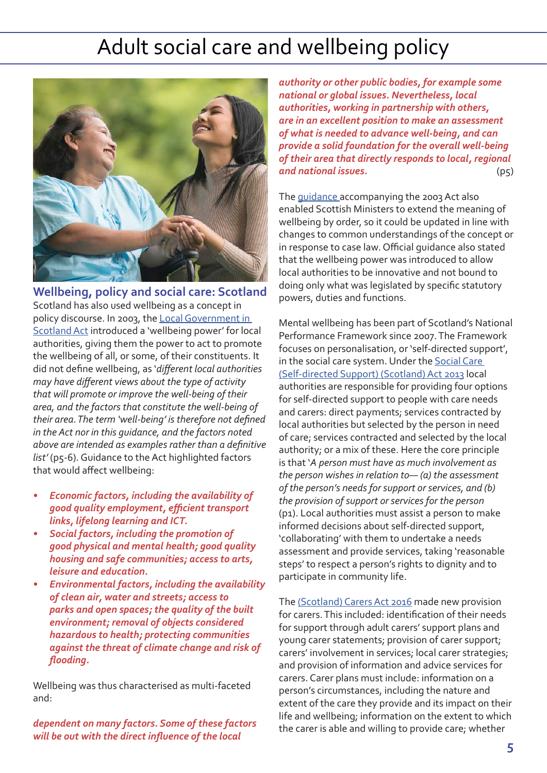

**Wellbeing, policy and social care: Scotland** Scotland has also used wellbeing as a concept in policy discourse. In 2003, the [Local Government in](http://www.legislation.gov.uk/asp/2003/1/pdfs/asp_20030001_en.pdf)  [Scotland Act](http://www.legislation.gov.uk/asp/2003/1/pdfs/asp_20030001_en.pdf) introduced a 'wellbeing power' for local authorities, giving them the power to act to promote the wellbeing of all, or some, of their constituents. It did not define wellbeing, as '*different local authorities may have different views about the type of activity that will promote or improve the well-being of their area, and the factors that constitute the well-being of their area. The term 'well-being' is therefore not defined in the Act nor in this guidance, and the factors noted above are intended as examples rather than a definitive list'* (p5-6). Guidance to the Act highlighted factors that would affect wellbeing:

- *• Economic factors, including the availability of good quality employment, efficient transport links, lifelong learning and ICT.*
- *• Social factors, including the promotion of good physical and mental health; good quality housing and safe communities; access to arts, leisure and education.*
- *• Environmental factors, including the availability of clean air, water and streets; access to parks and open spaces; the quality of the built environment; removal of objects considered hazardous to health; protecting communities against the threat of climate change and risk of flooding.*

Wellbeing was thus characterised as multi-faceted and:

*dependent on many factors. Some of these factors will be out with the direct influence of the local* 

*authority or other public bodies, for example some national or global issues. Nevertheless, local authorities, working in partnership with others, are in an excellent position to make an assessment of what is needed to advance well-being, and can provide a solid foundation for the overall well-being of their area that directly responds to local, regional and national issues.* (p5)

The *guidance* accompanying the 2003 Act also enabled Scottish Ministers to extend the meaning of wellbeing by order, so it could be updated in line with changes to common understandings of the concept or in response to case law. Official guidance also stated that the wellbeing power was introduced to allow local authorities to be innovative and not bound to doing only what was legislated by specific statutory powers, duties and functions.

Mental wellbeing has been part of Scotland's National Performance Framework since 2007. The Framework focuses on personalisation, or 'self-directed support', in the social care system. Under the Social Care [\(Self-directed Support\) \(Scotland\) Act 2013](http://www.legislation.gov.uk/asp/2013/1/pdfs/asp_20130001_en.pdf) local authorities are responsible for providing four options for self-directed support to people with care needs and carers: direct payments; services contracted by local authorities but selected by the person in need of care; services contracted and selected by the local authority; or a mix of these. Here the core principle is that '*A person must have as much involvement as the person wishes in relation to— (a) the assessment of the person's needs for support or services, and (b) the provision of support or services for the person* (p1). Local authorities must assist a person to make informed decisions about self-directed support, 'collaborating' with them to undertake a needs assessment and provide services, taking 'reasonable steps' to respect a person's rights to dignity and to participate in community life.

The [\(Scotland\) Carers Act 2016](https://www2.gov.scot/Resource/0052/00523245.pdf) made new provision for carers. This included: identification of their needs for support through adult carers' support plans and young carer statements; provision of carer support; carers' involvement in services; local carer strategies; and provision of information and advice services for carers. Carer plans must include: information on a person's circumstances, including the nature and extent of the care they provide and its impact on their life and wellbeing; information on the extent to which the carer is able and willing to provide care; whether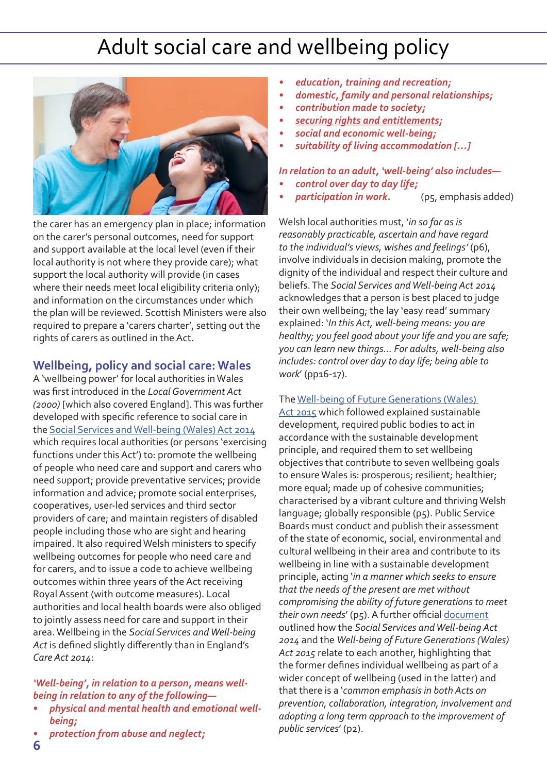

the carer has an emergency plan in place; information on the carer's personal outcomes, need for support and support available at the local level (even if their local authority is not where they provide care); what support the local authority will provide (in cases where their needs meet local eligibility criteria only); and information on the circumstances under which the plan will be reviewed. Scottish Ministers were also required to prepare a 'carers charter', setting out the rights of carers as outlined in the Act.

#### **Wellbeing, policy and social care: Wales**

A 'wellbeing power' for local authorities in Wales was first introduced in the *Local Government Act (2000)* [which also covered England]. This was further developed with specific reference to social care in the S[ocial Services and Well-being \(Wales\) Act 2014](https://www.legislation.gov.uk/anaw/2014/4/contents) which requires local authorities (or persons 'exercising functions under this Act') to: promote the wellbeing of people who need care and support and carers who need support; provide preventative services; provide information and advice; promote social enterprises, cooperatives, user-led services and third sector providers of care; and maintain registers of disabled people including those who are sight and hearing impaired. It also required Welsh ministers to specify wellbeing outcomes for people who need care and for carers, and to issue a code to achieve wellbeing outcomes within three years of the Act receiving Royal Assent (with outcome measures). Local authorities and local health boards were also obliged to jointly assess need for care and support in their area. Wellbeing in the *Social Services and Well-being Act* is defined slightly differently than in England's *Care Act 2014*:

*'Well-being', in relation to a person, means wellbeing in relation to any of the following—*

- *• physical and mental health and emotional wellbeing;*
- *• protection from abuse and neglect;*
- *• education, training and recreation;*
- *• domestic, family and personal relationships;*
- *• contribution made to society;*
- *• securing rights and entitlements;*
- *• social and economic well-being;*
- *• suitability of living accommodation […]*

*In relation to an adult, 'well-being' also includes—*

- *• control over day to day life;*
- *participation in work.* (p5, emphasis added)

Welsh local authorities must, '*in so far as is reasonably practicable, ascertain and have regard to the individual's views, wishes and feelings'* (p6), involve individuals in decision making, promote the dignity of the individual and respect their culture and beliefs. The *Social Services and Well-being Act 2014*  acknowledges that a person is best placed to judge their own wellbeing; the lay 'easy read' summary explained: '*In this Act, well-being means: you are healthy; you feel good about your life and you are safe; you can learn new things… For adults, well-being also includes: control over day to day life; being able to work*' (pp16-17).

#### The [Well-being of Future Generations \(Wales\)](http://www.legislation.gov.uk/anaw/2015/2/contents/enacted)

[Act 2015](http://www.legislation.gov.uk/anaw/2015/2/contents/enacted) which followed explained sustainable development, required public bodies to act in accordance with the sustainable development principle, and required them to set wellbeing objectives that contribute to seven wellbeing goals to ensure Wales is: prosperous; resilient; healthier; more equal; made up of cohesive communities; characterised by a vibrant culture and thriving Welsh language; globally responsible (p5). Public Service Boards must conduct and publish their assessment of the state of economic, social, environmental and cultural wellbeing in their area and contribute to its wellbeing in line with a sustainable development principle, acting '*in a manner which seeks to ensure that the needs of the present are met without compromising the ability of future generations to meet their own needs*' (p5). A further official [document](https://gov.wales/docs/phhs/publications/160415pt9wfgacten.pdf) outlined how the *Social Services and Well-being Act 2014* and the *Well-being of Future Generations (Wales) Act 2015* relate to each another, highlighting that the former defines individual wellbeing as part of a wider concept of wellbeing (used in the latter) and that there is a '*common emphasis in both Acts on prevention, collaboration, integration, involvement and adopting a long term approach to the improvement of public services*' (p2).

**6**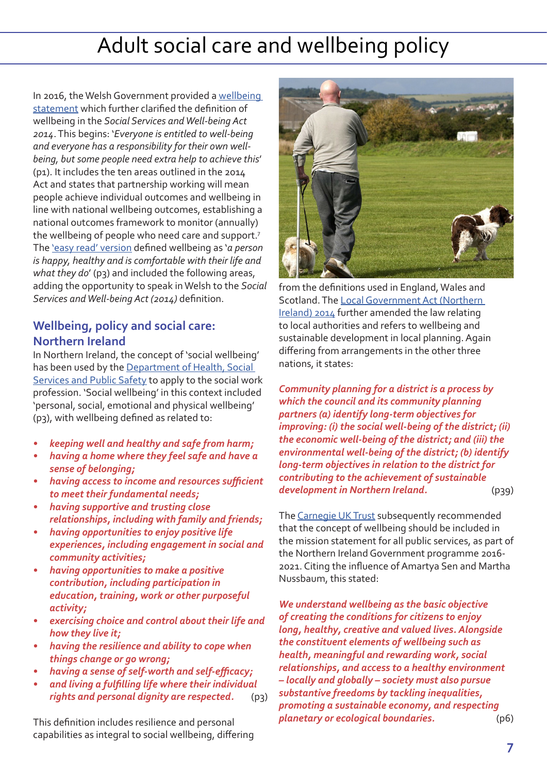In 2016, the Welsh Government provided a [wellbeing](https://gov.wales/sites/default/files/publications/2019-05/well-being-statement-for-people-who-need-care-and-support-and-carers-who-need-support.pdf)  [statement](https://gov.wales/sites/default/files/publications/2019-05/well-being-statement-for-people-who-need-care-and-support-and-carers-who-need-support.pdf) which further clarified the definition of wellbeing in the *Social Services and Well-being Act 2014*. This begins: '*Everyone is entitled to well-being and everyone has a responsibility for their own wellbeing, but some people need extra help to achieve this*' (p1). It includes the ten areas outlined in the 2014 Act and states that partnership working will mean people achieve individual outcomes and wellbeing in line with national wellbeing outcomes, establishing a national outcomes framework to monitor (annually) the wellbeing of people who need care and support.7 The ['easy read' version](https://gov.wales/sites/default/files/publications/2019-05/well-being-statement-for-people-who-need-care-and-support-and-carers-who-need-support-easy-read_0.pdf) defined wellbeing as '*a person is happy, healthy and is comfortable with their life and what they do*' (p3) and included the following areas, adding the opportunity to speak in Welsh to the *Social Services and Well-being Act (2014)* definition.

#### **Wellbeing, policy and social care: Northern Ireland**

In Northern Ireland, the concept of 'social wellbeing' has been used by the [Department of Health, Social](https://www.health-ni.gov.uk/sites/default/files/publications/dhssps/social-work-strategy.pdf)  [Services and Public Safety](https://www.health-ni.gov.uk/sites/default/files/publications/dhssps/social-work-strategy.pdf) to apply to the social work profession. 'Social wellbeing' in this context included 'personal, social, emotional and physical wellbeing' (p3), with wellbeing defined as related to:

- *• keeping well and healthy and safe from harm;*
- *• having a home where they feel safe and have a sense of belonging;*
- *• having access to income and resources sufficient to meet their fundamental needs;*
- *• having supportive and trusting close relationships, including with family and friends;*
- *• having opportunities to enjoy positive life experiences, including engagement in social and community activities;*
- *• having opportunities to make a positive contribution, including participation in education, training, work or other purposeful activity;*
- *• exercising choice and control about their life and how they live it;*
- *• having the resilience and ability to cope when things change or go wrong;*
- *• having a sense of self-worth and self-efficacy;*
- *• and living a fulfilling life where their individual rights and personal dignity are respected.* (p3)

This definition includes resilience and personal capabilities as integral to social wellbeing, differing



from the definitions used in England, Wales and Scotland. The [Local Government Act \(Northern](http://www.legislation.gov.uk/nia/2014/8/pdfs/nia_20140008_en.pdf)  [Ireland\) 2014](http://www.legislation.gov.uk/nia/2014/8/pdfs/nia_20140008_en.pdf) further amended the law relating to local authorities and refers to wellbeing and sustainable development in local planning. Again differing from arrangements in the other three nations, it states:

*Community planning for a district is a process by which the council and its community planning partners (a) identify long-term objectives for improving: (i) the social well-being of the district; (ii) the economic well-being of the district; and (iii) the environmental well-being of the district; (b) identify long-term objectives in relation to the district for contributing to the achievement of sustainable development in Northern Ireland.* (p39)

The [Carnegie UK Trust](https://d1ssu070pg2v9i.cloudfront.net/pex/carnegie_uk_trust/2016/02/pub1455011423.pdf) subsequently recommended that the concept of wellbeing should be included in the mission statement for all public services, as part of the Northern Ireland Government programme 2016- 2021. Citing the influence of Amartya Sen and Martha Nussbaum, this stated:

*We understand wellbeing as the basic objective of creating the conditions for citizens to enjoy long, healthy, creative and valued lives. Alongside the constituent elements of wellbeing such as health, meaningful and rewarding work, social relationships, and access to a healthy environment – locally and globally – society must also pursue substantive freedoms by tackling inequalities, promoting a sustainable economy, and respecting planetary or ecological boundaries.* (p6)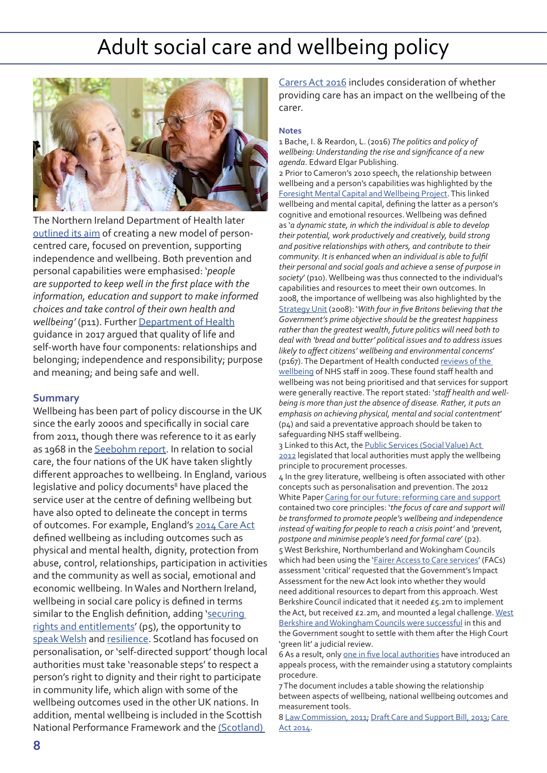

The Northern Ireland Department of Health later [outlined its aim](https://www.health-ni.gov.uk/sites/default/files/publications/health/health-and-wellbeing-2026-delivering-together.pdf) of creating a new model of personcentred care, focused on prevention, supporting independence and wellbeing. Both prevention and personal capabilities were emphasised: '*people are supported to keep well in the first place with the information, education and support to make informed choices and take control of their own health and wellbeing'* (p11). Further [Department of Health](https://www.health-ni.gov.uk/sites/default/files/publications/health/swswb.PDF) guidance in 2017 argued that quality of life and self-worth have four components: relationships and belonging; independence and responsibility; purpose and meaning; and being safe and well.

#### **Summary**

Wellbeing has been part of policy discourse in the UK since the early 2000s and specifically in social care from 2011, though there was reference to it as early as 1968 in the [Seebohm report](http://filestore.nationalarchives.gov.uk/pdfs/small/cab-129-138-c-88.pdf). In relation to social care, the four nations of the UK have taken slightly different approaches to wellbeing. In England, various legislative and policy documents<sup>8</sup> have placed the service user at the centre of defining wellbeing but have also opted to delineate the concept in terms of outcomes. For example, England's [2014 Care Act](http://www.legislation.gov.uk/ukpga/2014/23/contents/enacted) defined wellbeing as including outcomes such as physical and mental health, dignity, protection from abuse, control, relationships, participation in activities and the community as well as social, emotional and economic wellbeing. In Wales and Northern Ireland, wellbeing in social care policy is defined in terms similar to the English definition, adding 'securing [rights and entitlements](https://www.legislation.gov.uk/anaw/2014/4/contents)' (p5), the opportunity to [speak Welsh](https://gov.wales/sites/default/files/publications/2019-05/well-being-statement-for-people-who-need-care-and-support-and-carers-who-need-support-easy-read_0.pdf) and [resilience](https://www.health-ni.gov.uk/sites/default/files/publications/dhssps/social-work-strategy.pdf). Scotland has focused on personalisation, or 'self-directed support' though local authorities must take 'reasonable steps' to respect a person's right to dignity and their right to participate in community life, which align with some of the wellbeing outcomes used in the other UK nations. In addition, mental wellbeing is included in the Scottish National Performance Framework and the [\(Scotland\)](https://www2.gov.scot/Resource/0052/00523245.pdf) 

[Carers Act 2016](https://www2.gov.scot/Resource/0052/00523245.pdf) includes consideration of whether providing care has an impact on the wellbeing of the carer.

#### **Notes**

1 Bache, I. & Reardon, L. (2016) *The politics and policy of wellbeing: Understanding the rise and significance of a new agenda*. Edward Elgar Publishing.

2 Prior to Cameron's 2010 speech, the relationship between wellbeing and a person's capabilities was highlighted by the [Foresight Mental Capital and Wellbeing Project.](https://assets.publishing.service.gov.uk/government/uploads/system/uploads/attachment_data/file/292450/mental-capital-wellbeing-report.pdf) This linked wellbeing and mental capital, defining the latter as a person's cognitive and emotional resources. Wellbeing was defined as '*a dynamic state, in which the individual is able to develop their potential, work productively and creatively, build strong and positive relationships with others, and contribute to their community. It is enhanced when an individual is able to fulfil their personal and social goals and achieve a sense of purpose in*  society' (p10). Wellbeing was thus connected to the individual's capabilities and resources to meet their own outcomes. In 2008, the importance of wellbeing was also highlighted by the [Strategy Unit](http://webarchive.nationalarchives.gov.uk/+/http:/www.cabinetoffice.gov.uk/media/cabinetoffice/strategy/assets/strategic_challenges.pdf) (2008): '*With four in five Britons believing that the Government's prime objective should be the greatest happiness rather than the greatest wealth, future politics will need both to deal with 'bread and butter' political issues and to address issues likely to affect citizens' wellbeing and environmental concerns*' (p167). The Department of Health conducted [reviews of the](http://webarchive.nationalarchives.gov.uk/20130103004910/http:/www.dh.gov.uk/en/Publicationsandstatistics/Publications/PublicationsPolicyAndGuidance/DH_108799)  [wellbeing](http://webarchive.nationalarchives.gov.uk/20130103004910/http:/www.dh.gov.uk/en/Publicationsandstatistics/Publications/PublicationsPolicyAndGuidance/DH_108799) of NHS staff in 2009. These found staff health and wellbeing was not being prioritised and that services for support were generally reactive. The report stated: '*staff health and wellbeing is more than just the absence of disease. Rather, it puts an emphasis on achieving physical, mental and social contentment*' (p4) and said a preventative approach should be taken to safeguarding NHS staff wellbeing.

3 Linked to this Act, the Public Services (Social Value) Act [2012](http://www.legislation.gov.uk/ukpga/2012/3/pdfs/ukpga_20120003_en.pdf) legislated that local authorities must apply the wellbeing principle to procurement processes.

4 In the grey literature, wellbeing is often associated with other concepts such as personalisation and prevention. The 2012 White Paper [Caring for our future: reforming care and support](https://assets.publishing.service.gov.uk/government/uploads/system/uploads/attachment_data/file/136422/White-Paper-Caring-for-our-future-reforming-care-and-support-PDF-1580K.pdf) contained two core principles: '*the focus of care and support will be transformed to promote people's wellbeing and independence instead of waiting for people to reach a crisis point'* and *'prevent, postpone and minimise people's need for formal care*' (p2). 5 West Berkshire, Northumberland and Wokingham Councils which had been using the '*[Fairer Access to Care services'](https://www.scie.org.uk/publications/guides/guide33/)* (FACs) assessment 'critical' requested that the Government's Impact Assessment for the new Act look into whether they would need additional resources to depart from this approach. West Berkshire Council indicated that it needed £5.2m to implement the Act, but received  $E_2$ . 2m, and mounted a legal challenge. [West](https://www.communitycare.co.uk/2015/03/26/councils-mount-legal-challenge-care-act-funding-allocations/) [Berkshire and Wokingham Councils were successful](https://www.communitycare.co.uk/2015/03/26/councils-mount-legal-challenge-care-act-funding-allocations/) in this and the Government sought to settle with them after the High Court 'green lit' a judicial review.

6 As a result, only [one in five local authorities](https://independent-age-assets.s3.eu-west-1.amazonaws.com/s3fs-public/2019-10/IA-PI-092-SocialCareAppeals_WEB_0.pdf) have introduced an appeals process, with the remainder using a statutory complaints procedure.

7 The document includes a table showing the relationship between aspects of wellbeing, national wellbeing outcomes and measurement tools.

8 [Law Commission, 2011](http://www.lawcom.gov.uk/app/uploads/2015/03/lc326_adult_social_care.pdf); [Draft Care and Support Bill, 2013;](https://publications.parliament.uk/pa/jt201213/jtselect/jtcare/143/143short.pdf) Care [Act 2014.](http://www.legislation.gov.uk/ukpga/2014/23/contents/enacted)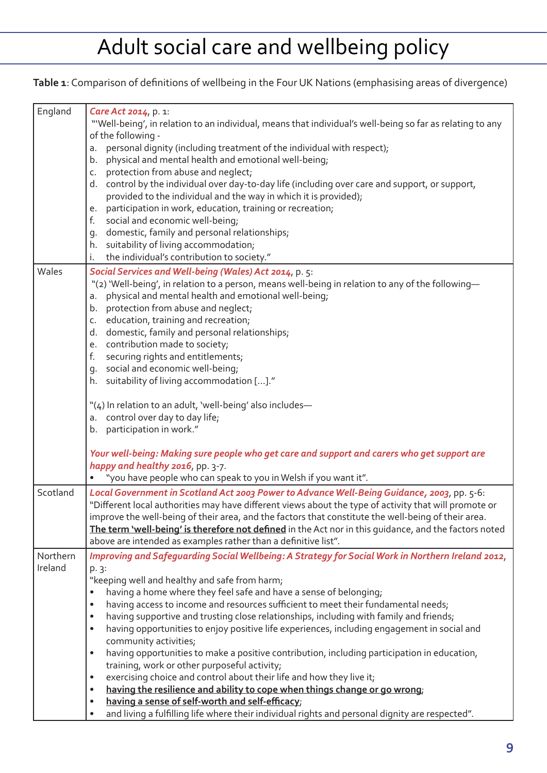**Table 1**: Comparison of definitions of wellbeing in the Four UK Nations (emphasising areas of divergence)

| England  | Care Act 2014, p. 1:                                                                                                              |
|----------|-----------------------------------------------------------------------------------------------------------------------------------|
|          | "Well-being', in relation to an individual, means that individual's well-being so far as relating to any<br>of the following -    |
|          | personal dignity (including treatment of the individual with respect);<br>a.                                                      |
|          | physical and mental health and emotional well-being;<br>b.                                                                        |
|          | protection from abuse and neglect;<br>C.                                                                                          |
|          | d. control by the individual over day-to-day life (including over care and support, or support,                                   |
|          | provided to the individual and the way in which it is provided);                                                                  |
|          | participation in work, education, training or recreation;<br>е.                                                                   |
|          | social and economic well-being;<br>f.                                                                                             |
|          | g. domestic, family and personal relationships;                                                                                   |
|          | h. suitability of living accommodation;                                                                                           |
|          | the individual's contribution to society."<br>i.                                                                                  |
| Wales    | Social Services and Well-being (Wales) Act 2014, p. 5:                                                                            |
|          | "(2) 'Well-being', in relation to a person, means well-being in relation to any of the following-                                 |
|          | physical and mental health and emotional well-being;<br>a.                                                                        |
|          | protection from abuse and neglect;<br>b.                                                                                          |
|          | c. education, training and recreation;                                                                                            |
|          | d. domestic, family and personal relationships;                                                                                   |
|          | e. contribution made to society;                                                                                                  |
|          | f.<br>securing rights and entitlements;                                                                                           |
|          | g. social and economic well-being;                                                                                                |
|          | h. suitability of living accommodation []."                                                                                       |
|          | "(4) In relation to an adult, 'well-being' also includes-                                                                         |
|          | a. control over day to day life;                                                                                                  |
|          | b. participation in work."                                                                                                        |
|          |                                                                                                                                   |
|          | Your well-being: Making sure people who get care and support and carers who get support are                                       |
|          | happy and healthy 2016, pp. 3-7.                                                                                                  |
|          | "you have people who can speak to you in Welsh if you want it".                                                                   |
| Scotland | Local Government in Scotland Act 2003 Power to Advance Well-Being Guidance, 2003, pp. 5-6:                                        |
|          | "Different local authorities may have different views about the type of activity that will promote or                             |
|          | improve the well-being of their area, and the factors that constitute the well-being of their area.                               |
|          | The term 'well-being' is therefore not defined in the Act nor in this guidance, and the factors noted                             |
|          | above are intended as examples rather than a definitive list".                                                                    |
| Northern | Improving and Safeguarding Social Wellbeing: A Strategy for Social Work in Northern Ireland 2012,                                 |
| Ireland  | p. 3:                                                                                                                             |
|          | "keeping well and healthy and safe from harm;                                                                                     |
|          | having a home where they feel safe and have a sense of belonging;<br>$\bullet$                                                    |
|          | having access to income and resources sufficient to meet their fundamental needs;<br>$\bullet$                                    |
|          | having supportive and trusting close relationships, including with family and friends;<br>$\bullet$                               |
|          | having opportunities to enjoy positive life experiences, including engagement in social and<br>$\bullet$<br>community activities; |
|          | having opportunities to make a positive contribution, including participation in education,<br>$\bullet$                          |
|          | training, work or other purposeful activity;                                                                                      |
|          | exercising choice and control about their life and how they live it;<br>$\bullet$                                                 |
|          | having the resilience and ability to cope when things change or go wrong;<br>$\bullet$                                            |
|          | having a sense of self-worth and self-efficacy;<br>$\bullet$                                                                      |
|          | and living a fulfilling life where their individual rights and personal dignity are respected".<br>$\bullet$                      |